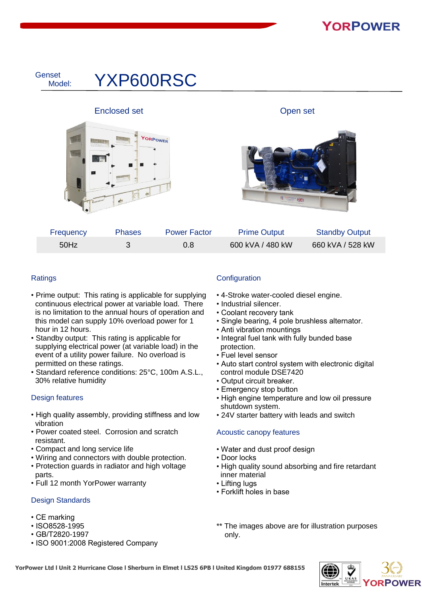

| Frequency | <b>Phases</b> | <b>Power Factor</b> | <b>Prime Output</b> | <b>Standby Output</b> |
|-----------|---------------|---------------------|---------------------|-----------------------|
| 50Hz      |               | 0.8                 | 600 kVA / 480 kW    | 660 kVA / 528 kW      |

### **Ratings**

- Prime output: This rating is applicable for supplying continuous electrical power at variable load. There is no limitation to the annual hours of operation and this model can supply 10% overload power for 1 hour in 12 hours.
- Standby output: This rating is applicable for supplying electrical power (at variable load) in the event of a utility power failure. No overload is permitted on these ratings.
- Standard reference conditions: 25°C, 100m A.S.L., 30% relative humidity

### Design features

- High quality assembly, providing stiffness and low vibration
- Power coated steel. Corrosion and scratch resistant.
- Compact and long service life
- Wiring and connectors with double protection.
- Protection guards in radiator and high voltage parts.
- Full 12 month YorPower warranty

### Design Standards

- CE marking
- ISO8528-1995
- GB/T2820-1997
- ISO 9001:2008 Registered Company

### **Configuration**

- 4-Stroke water-cooled diesel engine.
- Industrial silencer.
- Coolant recovery tank
- Single bearing, 4 pole brushless alternator.
- Anti vibration mountings
- Integral fuel tank with fully bunded base protection.
- Fuel level sensor
- Auto start control system with electronic digital control module DSE7420
- Output circuit breaker.
- Emergency stop button
- High engine temperature and low oil pressure shutdown system.
- 24V starter battery with leads and switch

### Acoustic canopy features

- Water and dust proof design
- Door locks
- High quality sound absorbing and fire retardant inner material
- Lifting lugs
- Forklift holes in base
- \*\* The images above are for illustration purposes only.